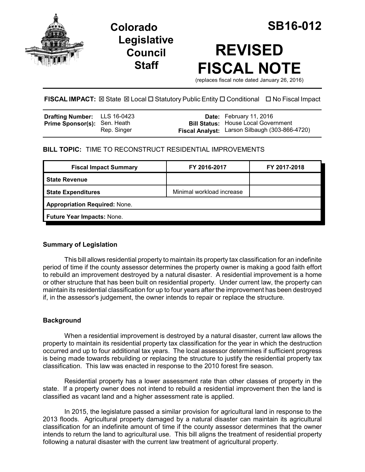

# **Legislative Council Staff**

# **REVISED FISCAL NOTE**

(replaces fiscal note dated January 26, 2016)

# **FISCAL IMPACT:** ⊠ State ⊠ Local □ Statutory Public Entity □ Conditional □ No Fiscal Impact

| <b>Drafting Number:</b> LLS 16-0423 |             | <b>Date:</b> February 11, 2016                 |
|-------------------------------------|-------------|------------------------------------------------|
| <b>Prime Sponsor(s): Sen. Heath</b> |             | <b>Bill Status: House Local Government</b>     |
|                                     | Rep. Singer | Fiscal Analyst: Larson Silbaugh (303-866-4720) |

## **BILL TOPIC:** TIME TO RECONSTRUCT RESIDENTIAL IMPROVEMENTS

| FY 2016-2017                         | FY 2017-2018 |  |  |  |
|--------------------------------------|--------------|--|--|--|
|                                      |              |  |  |  |
| Minimal workload increase            |              |  |  |  |
| <b>Appropriation Required: None.</b> |              |  |  |  |
| Future Year Impacts: None.           |              |  |  |  |
|                                      |              |  |  |  |

## **Summary of Legislation**

This bill allows residential property to maintain its property tax classification for an indefinite period of time if the county assessor determines the property owner is making a good faith effort to rebuild an improvement destroyed by a natural disaster. A residential improvement is a home or other structure that has been built on residential property. Under current law, the property can maintain its residential classification for up to four years after the improvement has been destroyed if, in the assessor's judgement, the owner intends to repair or replace the structure.

#### **Background**

When a residential improvement is destroyed by a natural disaster, current law allows the property to maintain its residential property tax classification for the year in which the destruction occurred and up to four additional tax years. The local assessor determines if sufficient progress is being made towards rebuilding or replacing the structure to justify the residential property tax classification. This law was enacted in response to the 2010 forest fire season.

Residential property has a lower assessment rate than other classes of property in the state. If a property owner does not intend to rebuild a residential improvement then the land is classified as vacant land and a higher assessment rate is applied.

In 2015, the legislature passed a similar provision for agricultural land in response to the 2013 floods. Agricultural property damaged by a natural disaster can maintain its agricultural classification for an indefinite amount of time if the county assessor determines that the owner intends to return the land to agricultural use. This bill aligns the treatment of residential property following a natural disaster with the current law treatment of agricultural property.